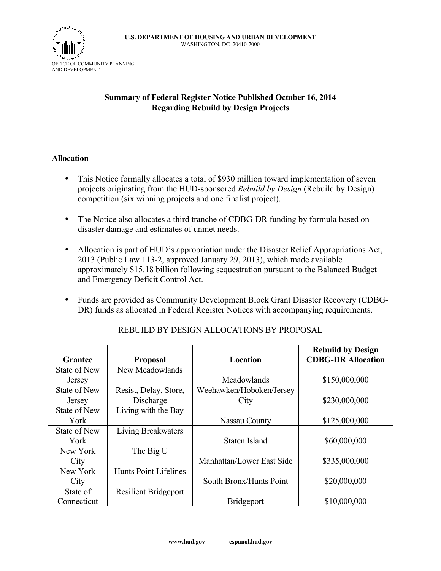

### **Summary of Federal Register Notice Published October 16, 2014 Regarding Rebuild by Design Projects**

#### **Allocation**

- This Notice formally allocates a total of \$930 million toward implementation of seven projects originating from the HUD-sponsored *Rebuild by Design* (Rebuild by Design) competition (six winning projects and one finalist project).
- The Notice also allocates a third tranche of CDBG-DR funding by formula based on disaster damage and estimates of unmet needs.
- Allocation is part of HUD's appropriation under the Disaster Relief Appropriations Act, 2013 (Public Law 113-2, approved January 29, 2013), which made available approximately \$15.18 billion following sequestration pursuant to the Balanced Budget and Emergency Deficit Control Act.
- Funds are provided as Community Development Block Grant Disaster Recovery (CDBG-DR) funds as allocated in Federal Register Notices with accompanying requirements.

|                     |                              |                           | <b>Rebuild by Design</b>  |
|---------------------|------------------------------|---------------------------|---------------------------|
| <b>Grantee</b>      | <b>Proposal</b>              | Location                  | <b>CDBG-DR Allocation</b> |
| <b>State of New</b> | New Meadowlands              |                           |                           |
| <b>Jersey</b>       |                              | Meadowlands               | \$150,000,000             |
| State of New        | Resist, Delay, Store,        | Weehawken/Hoboken/Jersey  |                           |
| Jersey              | Discharge                    | City                      | \$230,000,000             |
| <b>State of New</b> | Living with the Bay          |                           |                           |
| York                |                              | Nassau County             | \$125,000,000             |
| State of New        | Living Breakwaters           |                           |                           |
| York                |                              | Staten Island             | \$60,000,000              |
| New York            | The Big U                    |                           |                           |
| City                |                              | Manhattan/Lower East Side | \$335,000,000             |
| New York            | <b>Hunts Point Lifelines</b> |                           |                           |
| City                |                              | South Bronx/Hunts Point   | \$20,000,000              |
| State of            | <b>Resilient Bridgeport</b>  |                           |                           |
| Connecticut         |                              | <b>Bridgeport</b>         | \$10,000,000              |

# REBUILD BY DESIGN ALLOCATIONS BY PROPOSAL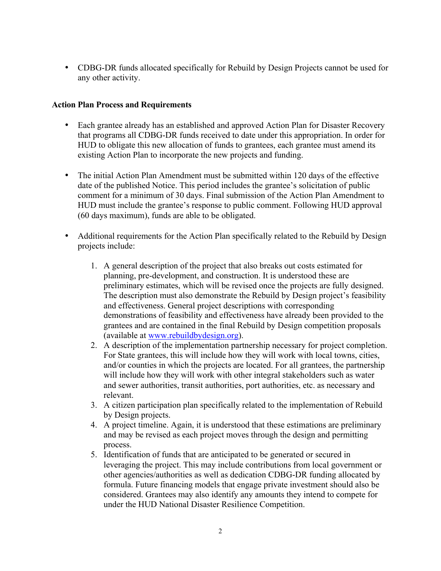• CDBG-DR funds allocated specifically for Rebuild by Design Projects cannot be used for any other activity.

### **Action Plan Process and Requirements**

- Each grantee already has an established and approved Action Plan for Disaster Recovery that programs all CDBG-DR funds received to date under this appropriation. In order for HUD to obligate this new allocation of funds to grantees, each grantee must amend its existing Action Plan to incorporate the new projects and funding.
- The initial Action Plan Amendment must be submitted within 120 days of the effective date of the published Notice. This period includes the grantee's solicitation of public comment for a minimum of 30 days. Final submission of the Action Plan Amendment to HUD must include the grantee's response to public comment. Following HUD approval (60 days maximum), funds are able to be obligated.
- Additional requirements for the Action Plan specifically related to the Rebuild by Design projects include:
	- 1. A general description of the project that also breaks out costs estimated for planning, pre-development, and construction. It is understood these are preliminary estimates, which will be revised once the projects are fully designed. The description must also demonstrate the Rebuild by Design project's feasibility and effectiveness. General project descriptions with corresponding demonstrations of feasibility and effectiveness have already been provided to the grantees and are contained in the final Rebuild by Design competition proposals (available at www.rebuildbydesign.org).
	- 2. A description of the implementation partnership necessary for project completion. For State grantees, this will include how they will work with local towns, cities, and/or counties in which the projects are located. For all grantees, the partnership will include how they will work with other integral stakeholders such as water and sewer authorities, transit authorities, port authorities, etc. as necessary and relevant.
	- 3. A citizen participation plan specifically related to the implementation of Rebuild by Design projects.
	- 4. A project timeline. Again, it is understood that these estimations are preliminary and may be revised as each project moves through the design and permitting process.
	- 5. Identification of funds that are anticipated to be generated or secured in leveraging the project. This may include contributions from local government or other agencies/authorities as well as dedication CDBG-DR funding allocated by formula. Future financing models that engage private investment should also be considered. Grantees may also identify any amounts they intend to compete for under the HUD National Disaster Resilience Competition.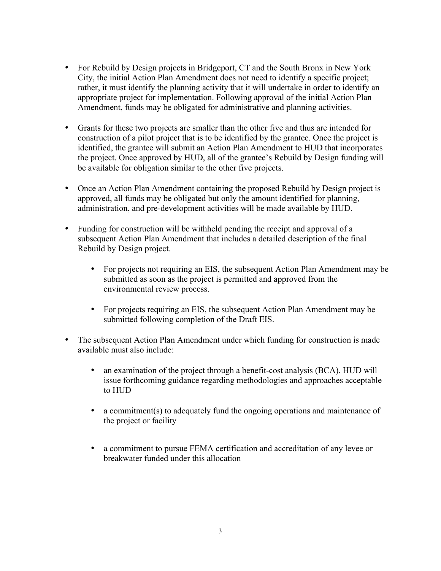- For Rebuild by Design projects in Bridgeport, CT and the South Bronx in New York City, the initial Action Plan Amendment does not need to identify a specific project; rather, it must identify the planning activity that it will undertake in order to identify an appropriate project for implementation. Following approval of the initial Action Plan Amendment, funds may be obligated for administrative and planning activities.
- Grants for these two projects are smaller than the other five and thus are intended for construction of a pilot project that is to be identified by the grantee. Once the project is identified, the grantee will submit an Action Plan Amendment to HUD that incorporates the project. Once approved by HUD, all of the grantee's Rebuild by Design funding will be available for obligation similar to the other five projects.
- Once an Action Plan Amendment containing the proposed Rebuild by Design project is approved, all funds may be obligated but only the amount identified for planning, administration, and pre-development activities will be made available by HUD.
- Funding for construction will be withheld pending the receipt and approval of a subsequent Action Plan Amendment that includes a detailed description of the final Rebuild by Design project.
	- For projects not requiring an EIS, the subsequent Action Plan Amendment may be submitted as soon as the project is permitted and approved from the environmental review process.
	- For projects requiring an EIS, the subsequent Action Plan Amendment may be submitted following completion of the Draft EIS.
- The subsequent Action Plan Amendment under which funding for construction is made available must also include:
	- an examination of the project through a benefit-cost analysis (BCA). HUD will issue forthcoming guidance regarding methodologies and approaches acceptable to HUD
	- a commitment(s) to adequately fund the ongoing operations and maintenance of the project or facility
	- a commitment to pursue FEMA certification and accreditation of any levee or breakwater funded under this allocation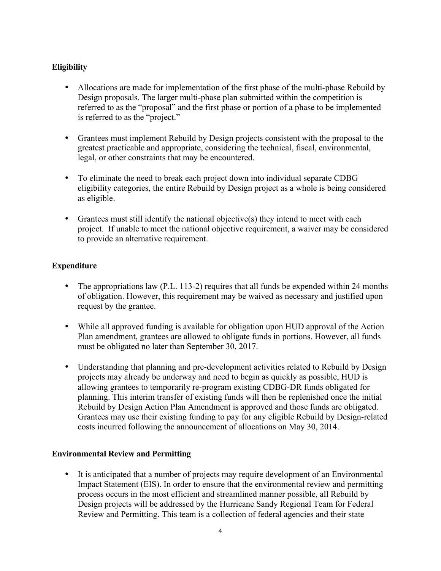## **Eligibility**

- Allocations are made for implementation of the first phase of the multi-phase Rebuild by Design proposals. The larger multi-phase plan submitted within the competition is referred to as the "proposal" and the first phase or portion of a phase to be implemented is referred to as the "project."
- Grantees must implement Rebuild by Design projects consistent with the proposal to the greatest practicable and appropriate, considering the technical, fiscal, environmental, legal, or other constraints that may be encountered.
- To eliminate the need to break each project down into individual separate CDBG eligibility categories, the entire Rebuild by Design project as a whole is being considered as eligible.
- Grantees must still identify the national objective(s) they intend to meet with each project. If unable to meet the national objective requirement, a waiver may be considered to provide an alternative requirement.

## **Expenditure**

- The appropriations law (P.L. 113-2) requires that all funds be expended within 24 months of obligation. However, this requirement may be waived as necessary and justified upon request by the grantee.
- While all approved funding is available for obligation upon HUD approval of the Action Plan amendment, grantees are allowed to obligate funds in portions. However, all funds must be obligated no later than September 30, 2017.
- Understanding that planning and pre-development activities related to Rebuild by Design projects may already be underway and need to begin as quickly as possible, HUD is allowing grantees to temporarily re-program existing CDBG-DR funds obligated for planning. This interim transfer of existing funds will then be replenished once the initial Rebuild by Design Action Plan Amendment is approved and those funds are obligated. Grantees may use their existing funding to pay for any eligible Rebuild by Design-related costs incurred following the announcement of allocations on May 30, 2014.

### **Environmental Review and Permitting**

• It is anticipated that a number of projects may require development of an Environmental Impact Statement (EIS). In order to ensure that the environmental review and permitting process occurs in the most efficient and streamlined manner possible, all Rebuild by Design projects will be addressed by the Hurricane Sandy Regional Team for Federal Review and Permitting. This team is a collection of federal agencies and their state